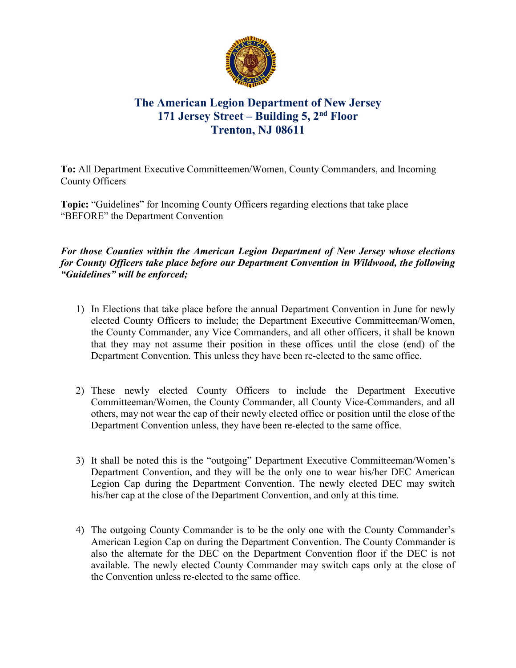

## **The American Legion Department of New Jersey 171 Jersey Street – Building 5, 2nd Floor Trenton, NJ 08611**

**To:** All Department Executive Committeemen/Women, County Commanders, and Incoming County Officers

**Topic:** "Guidelines" for Incoming County Officers regarding elections that take place "BEFORE" the Department Convention

## *For those Counties within the American Legion Department of New Jersey whose elections for County Officers take place before our Department Convention in Wildwood, the following "Guidelines" will be enforced;*

- 1) In Elections that take place before the annual Department Convention in June for newly elected County Officers to include; the Department Executive Committeeman/Women, the County Commander, any Vice Commanders, and all other officers, it shall be known that they may not assume their position in these offices until the close (end) of the Department Convention. This unless they have been re-elected to the same office.
- 2) These newly elected County Officers to include the Department Executive Committeeman/Women, the County Commander, all County Vice-Commanders, and all others, may not wear the cap of their newly elected office or position until the close of the Department Convention unless, they have been re-elected to the same office.
- 3) It shall be noted this is the "outgoing" Department Executive Committeeman/Women's Department Convention, and they will be the only one to wear his/her DEC American Legion Cap during the Department Convention. The newly elected DEC may switch his/her cap at the close of the Department Convention, and only at this time.
- 4) The outgoing County Commander is to be the only one with the County Commander's American Legion Cap on during the Department Convention. The County Commander is also the alternate for the DEC on the Department Convention floor if the DEC is not available. The newly elected County Commander may switch caps only at the close of the Convention unless re-elected to the same office.